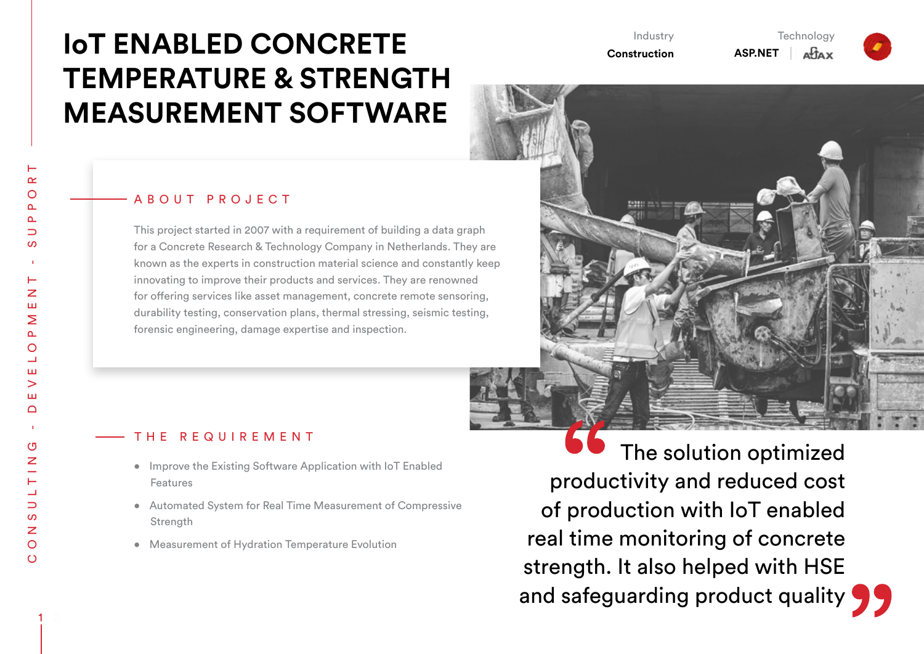# **IoT ENABLED CONCRETE TEMPERATURE & STRENGTH MEASUREMENT SOFTWARE**

### ABOUT PROJECT

This project started in 2007 with a requirement of building a data graph for a Concrete Research & Technology Company in Netherlands. They are known as the experts in construction material science and constantly keep innovating to improve their products and services. They are renowned for offering services like asset management, concrete remote sensoring, durability testing, conservation plans, thermal stressing, seismic testing, forensic engineering, damage expertise and inspection.

# THE REQUIREMENT

- • Improve the Existing Software Application with IoT Enabled Features
- • Automated System for Real Time Measurement of Compressive **Strength**
- Measurement of Hydration Temperature Evolution

 The solution optimized productivity and reduced cost of production with IoT enabled real time monitoring of concrete strength. It also helped with HSE and safeguarding product quality  $\bigcap$ 

**Technology** 

**Aftax** 

Industry **Construction**